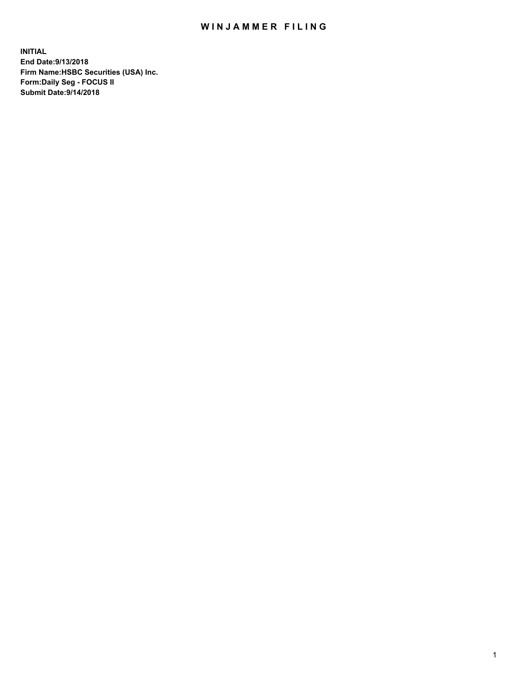## WIN JAMMER FILING

**INITIAL End Date:9/13/2018 Firm Name:HSBC Securities (USA) Inc. Form:Daily Seg - FOCUS II Submit Date:9/14/2018**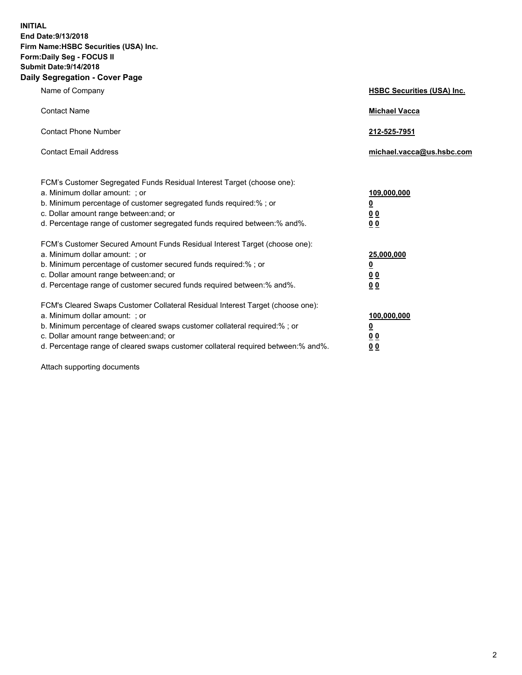**INITIAL End Date:9/13/2018 Firm Name:HSBC Securities (USA) Inc. Form:Daily Seg - FOCUS II Submit Date:9/14/2018 Daily Segregation - Cover Page**

| Name of Company                                                                                                                                                                                                                                                                                                                | <b>HSBC Securities (USA) Inc.</b>                                          |
|--------------------------------------------------------------------------------------------------------------------------------------------------------------------------------------------------------------------------------------------------------------------------------------------------------------------------------|----------------------------------------------------------------------------|
| <b>Contact Name</b>                                                                                                                                                                                                                                                                                                            | <b>Michael Vacca</b>                                                       |
| <b>Contact Phone Number</b>                                                                                                                                                                                                                                                                                                    | 212-525-7951                                                               |
| <b>Contact Email Address</b>                                                                                                                                                                                                                                                                                                   | michael.vacca@us.hsbc.com                                                  |
| FCM's Customer Segregated Funds Residual Interest Target (choose one):<br>a. Minimum dollar amount: : or<br>b. Minimum percentage of customer segregated funds required:% ; or<br>c. Dollar amount range between: and; or<br>d. Percentage range of customer segregated funds required between:% and%.                         | 109,000,000<br>$\overline{\mathbf{0}}$<br>0 <sub>0</sub><br>0 <sub>0</sub> |
| FCM's Customer Secured Amount Funds Residual Interest Target (choose one):<br>a. Minimum dollar amount: ; or<br>b. Minimum percentage of customer secured funds required:%; or<br>c. Dollar amount range between: and; or<br>d. Percentage range of customer secured funds required between:% and%.                            | 25,000,000<br>$\overline{\mathbf{0}}$<br>0 <sub>0</sub><br>0 <sub>0</sub>  |
| FCM's Cleared Swaps Customer Collateral Residual Interest Target (choose one):<br>a. Minimum dollar amount: ; or<br>b. Minimum percentage of cleared swaps customer collateral required:% ; or<br>c. Dollar amount range between: and; or<br>d. Percentage range of cleared swaps customer collateral required between:% and%. | 100,000,000<br>$\overline{\mathbf{0}}$<br>0 <sub>0</sub><br>0 <sub>0</sub> |

Attach supporting documents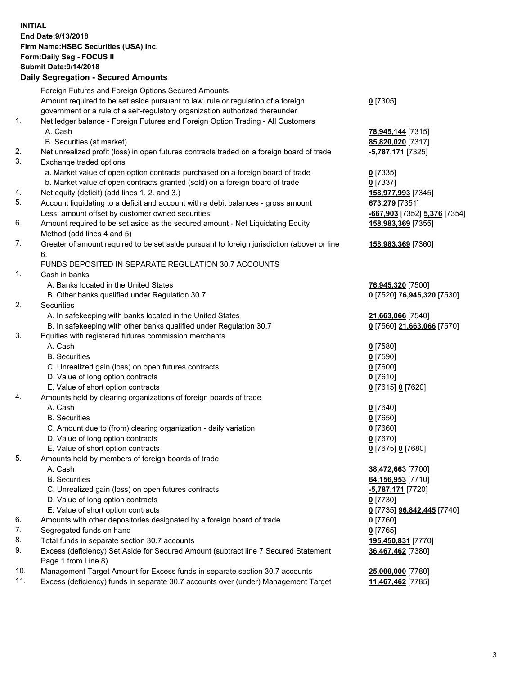**INITIAL End Date:9/13/2018 Firm Name:HSBC Securities (USA) Inc. Form:Daily Seg - FOCUS II Submit Date:9/14/2018 Daily Segregation - Secured Amounts**

| Foreign Futures and Foreign Options Secured Amounts<br>Amount required to be set aside pursuant to law, rule or regulation of a foreign<br>$0$ [7305]<br>government or a rule of a self-regulatory organization authorized thereunder<br>1.<br>Net ledger balance - Foreign Futures and Foreign Option Trading - All Customers<br>A. Cash<br>78,945,144 [7315]<br>B. Securities (at market)<br>85,820,020 [7317]<br>2.<br>Net unrealized profit (loss) in open futures contracts traded on a foreign board of trade<br><u>-5,787,171</u> [7325]<br>3.<br>Exchange traded options<br>a. Market value of open option contracts purchased on a foreign board of trade<br>$0$ [7335]<br>b. Market value of open contracts granted (sold) on a foreign board of trade<br>$0$ [7337]<br>Net equity (deficit) (add lines 1. 2. and 3.)<br>158,977,993 [7345]<br>4.<br>5.<br>Account liquidating to a deficit and account with a debit balances - gross amount<br>673,279 [7351]<br>Less: amount offset by customer owned securities<br>6.<br>Amount required to be set aside as the secured amount - Net Liquidating Equity<br>158,983,369 [7355]<br>Method (add lines 4 and 5)<br>7.<br>Greater of amount required to be set aside pursuant to foreign jurisdiction (above) or line<br>158,983,369 [7360]<br>6.<br>FUNDS DEPOSITED IN SEPARATE REGULATION 30.7 ACCOUNTS<br>1.<br>Cash in banks<br>A. Banks located in the United States<br>76,945,320 [7500]<br>B. Other banks qualified under Regulation 30.7<br>2.<br>Securities<br>A. In safekeeping with banks located in the United States<br>21,663,066 [7540]<br>B. In safekeeping with other banks qualified under Regulation 30.7<br>3.<br>Equities with registered futures commission merchants<br>A. Cash<br>$0$ [7580]<br><b>B.</b> Securities<br>$0$ [7590]<br>C. Unrealized gain (loss) on open futures contracts<br>$0$ [7600]<br>D. Value of long option contracts<br>$0$ [7610]<br>E. Value of short option contracts<br>0 [7615] 0 [7620]<br>Amounts held by clearing organizations of foreign boards of trade<br>4.<br>A. Cash<br>$0$ [7640]<br><b>B.</b> Securities<br>$0$ [7650]<br>C. Amount due to (from) clearing organization - daily variation<br>$0$ [7660]<br>D. Value of long option contracts<br>$0$ [7670]<br>E. Value of short option contracts<br>0 [7675] 0 [7680]<br>5.<br>Amounts held by members of foreign boards of trade<br>A. Cash<br>38,472,663 [7700]<br><b>B.</b> Securities<br>64,156,953 [7710]<br>C. Unrealized gain (loss) on open futures contracts<br><u>-5,787,171</u> [7720]<br>D. Value of long option contracts<br>0 [7730]<br>E. Value of short option contracts<br>0 [7735] 96,842,445 [7740]<br>6.<br>Amounts with other depositories designated by a foreign board of trade<br>0 [7760]<br>7.<br>Segregated funds on hand<br>$0$ [7765]<br>8.<br>Total funds in separate section 30.7 accounts<br>195,450,831 [7770]<br>9.<br>Excess (deficiency) Set Aside for Secured Amount (subtract line 7 Secured Statement<br>36,467,462 [7380]<br>Page 1 from Line 8)<br>10.<br>Management Target Amount for Excess funds in separate section 30.7 accounts<br>25,000,000 [7780]<br>11.<br>Excess (deficiency) funds in separate 30.7 accounts over (under) Management Target<br>11,467,462 [7785] | Daily Segregation - Secured Amounts |                              |
|------------------------------------------------------------------------------------------------------------------------------------------------------------------------------------------------------------------------------------------------------------------------------------------------------------------------------------------------------------------------------------------------------------------------------------------------------------------------------------------------------------------------------------------------------------------------------------------------------------------------------------------------------------------------------------------------------------------------------------------------------------------------------------------------------------------------------------------------------------------------------------------------------------------------------------------------------------------------------------------------------------------------------------------------------------------------------------------------------------------------------------------------------------------------------------------------------------------------------------------------------------------------------------------------------------------------------------------------------------------------------------------------------------------------------------------------------------------------------------------------------------------------------------------------------------------------------------------------------------------------------------------------------------------------------------------------------------------------------------------------------------------------------------------------------------------------------------------------------------------------------------------------------------------------------------------------------------------------------------------------------------------------------------------------------------------------------------------------------------------------------------------------------------------------------------------------------------------------------------------------------------------------------------------------------------------------------------------------------------------------------------------------------------------------------------------------------------------------------------------------------------------------------------------------------------------------------------------------------------------------------------------------------------------------------------------------------------------------------------------------------------------------------------------------------------------------------------------------------------------------------------------------------------------------------------------------------------------------------------------------------------------------------------------------------------------------------------------------------------------------------------------------------------------------------------------------------------------------------------------------------------------------------------------------|-------------------------------------|------------------------------|
|                                                                                                                                                                                                                                                                                                                                                                                                                                                                                                                                                                                                                                                                                                                                                                                                                                                                                                                                                                                                                                                                                                                                                                                                                                                                                                                                                                                                                                                                                                                                                                                                                                                                                                                                                                                                                                                                                                                                                                                                                                                                                                                                                                                                                                                                                                                                                                                                                                                                                                                                                                                                                                                                                                                                                                                                                                                                                                                                                                                                                                                                                                                                                                                                                                                                                                |                                     |                              |
|                                                                                                                                                                                                                                                                                                                                                                                                                                                                                                                                                                                                                                                                                                                                                                                                                                                                                                                                                                                                                                                                                                                                                                                                                                                                                                                                                                                                                                                                                                                                                                                                                                                                                                                                                                                                                                                                                                                                                                                                                                                                                                                                                                                                                                                                                                                                                                                                                                                                                                                                                                                                                                                                                                                                                                                                                                                                                                                                                                                                                                                                                                                                                                                                                                                                                                |                                     |                              |
|                                                                                                                                                                                                                                                                                                                                                                                                                                                                                                                                                                                                                                                                                                                                                                                                                                                                                                                                                                                                                                                                                                                                                                                                                                                                                                                                                                                                                                                                                                                                                                                                                                                                                                                                                                                                                                                                                                                                                                                                                                                                                                                                                                                                                                                                                                                                                                                                                                                                                                                                                                                                                                                                                                                                                                                                                                                                                                                                                                                                                                                                                                                                                                                                                                                                                                |                                     |                              |
|                                                                                                                                                                                                                                                                                                                                                                                                                                                                                                                                                                                                                                                                                                                                                                                                                                                                                                                                                                                                                                                                                                                                                                                                                                                                                                                                                                                                                                                                                                                                                                                                                                                                                                                                                                                                                                                                                                                                                                                                                                                                                                                                                                                                                                                                                                                                                                                                                                                                                                                                                                                                                                                                                                                                                                                                                                                                                                                                                                                                                                                                                                                                                                                                                                                                                                |                                     |                              |
|                                                                                                                                                                                                                                                                                                                                                                                                                                                                                                                                                                                                                                                                                                                                                                                                                                                                                                                                                                                                                                                                                                                                                                                                                                                                                                                                                                                                                                                                                                                                                                                                                                                                                                                                                                                                                                                                                                                                                                                                                                                                                                                                                                                                                                                                                                                                                                                                                                                                                                                                                                                                                                                                                                                                                                                                                                                                                                                                                                                                                                                                                                                                                                                                                                                                                                |                                     |                              |
|                                                                                                                                                                                                                                                                                                                                                                                                                                                                                                                                                                                                                                                                                                                                                                                                                                                                                                                                                                                                                                                                                                                                                                                                                                                                                                                                                                                                                                                                                                                                                                                                                                                                                                                                                                                                                                                                                                                                                                                                                                                                                                                                                                                                                                                                                                                                                                                                                                                                                                                                                                                                                                                                                                                                                                                                                                                                                                                                                                                                                                                                                                                                                                                                                                                                                                |                                     |                              |
|                                                                                                                                                                                                                                                                                                                                                                                                                                                                                                                                                                                                                                                                                                                                                                                                                                                                                                                                                                                                                                                                                                                                                                                                                                                                                                                                                                                                                                                                                                                                                                                                                                                                                                                                                                                                                                                                                                                                                                                                                                                                                                                                                                                                                                                                                                                                                                                                                                                                                                                                                                                                                                                                                                                                                                                                                                                                                                                                                                                                                                                                                                                                                                                                                                                                                                |                                     |                              |
|                                                                                                                                                                                                                                                                                                                                                                                                                                                                                                                                                                                                                                                                                                                                                                                                                                                                                                                                                                                                                                                                                                                                                                                                                                                                                                                                                                                                                                                                                                                                                                                                                                                                                                                                                                                                                                                                                                                                                                                                                                                                                                                                                                                                                                                                                                                                                                                                                                                                                                                                                                                                                                                                                                                                                                                                                                                                                                                                                                                                                                                                                                                                                                                                                                                                                                |                                     |                              |
|                                                                                                                                                                                                                                                                                                                                                                                                                                                                                                                                                                                                                                                                                                                                                                                                                                                                                                                                                                                                                                                                                                                                                                                                                                                                                                                                                                                                                                                                                                                                                                                                                                                                                                                                                                                                                                                                                                                                                                                                                                                                                                                                                                                                                                                                                                                                                                                                                                                                                                                                                                                                                                                                                                                                                                                                                                                                                                                                                                                                                                                                                                                                                                                                                                                                                                |                                     |                              |
|                                                                                                                                                                                                                                                                                                                                                                                                                                                                                                                                                                                                                                                                                                                                                                                                                                                                                                                                                                                                                                                                                                                                                                                                                                                                                                                                                                                                                                                                                                                                                                                                                                                                                                                                                                                                                                                                                                                                                                                                                                                                                                                                                                                                                                                                                                                                                                                                                                                                                                                                                                                                                                                                                                                                                                                                                                                                                                                                                                                                                                                                                                                                                                                                                                                                                                |                                     |                              |
|                                                                                                                                                                                                                                                                                                                                                                                                                                                                                                                                                                                                                                                                                                                                                                                                                                                                                                                                                                                                                                                                                                                                                                                                                                                                                                                                                                                                                                                                                                                                                                                                                                                                                                                                                                                                                                                                                                                                                                                                                                                                                                                                                                                                                                                                                                                                                                                                                                                                                                                                                                                                                                                                                                                                                                                                                                                                                                                                                                                                                                                                                                                                                                                                                                                                                                |                                     |                              |
|                                                                                                                                                                                                                                                                                                                                                                                                                                                                                                                                                                                                                                                                                                                                                                                                                                                                                                                                                                                                                                                                                                                                                                                                                                                                                                                                                                                                                                                                                                                                                                                                                                                                                                                                                                                                                                                                                                                                                                                                                                                                                                                                                                                                                                                                                                                                                                                                                                                                                                                                                                                                                                                                                                                                                                                                                                                                                                                                                                                                                                                                                                                                                                                                                                                                                                |                                     |                              |
|                                                                                                                                                                                                                                                                                                                                                                                                                                                                                                                                                                                                                                                                                                                                                                                                                                                                                                                                                                                                                                                                                                                                                                                                                                                                                                                                                                                                                                                                                                                                                                                                                                                                                                                                                                                                                                                                                                                                                                                                                                                                                                                                                                                                                                                                                                                                                                                                                                                                                                                                                                                                                                                                                                                                                                                                                                                                                                                                                                                                                                                                                                                                                                                                                                                                                                |                                     | -667,903 [7352] 5,376 [7354] |
|                                                                                                                                                                                                                                                                                                                                                                                                                                                                                                                                                                                                                                                                                                                                                                                                                                                                                                                                                                                                                                                                                                                                                                                                                                                                                                                                                                                                                                                                                                                                                                                                                                                                                                                                                                                                                                                                                                                                                                                                                                                                                                                                                                                                                                                                                                                                                                                                                                                                                                                                                                                                                                                                                                                                                                                                                                                                                                                                                                                                                                                                                                                                                                                                                                                                                                |                                     |                              |
|                                                                                                                                                                                                                                                                                                                                                                                                                                                                                                                                                                                                                                                                                                                                                                                                                                                                                                                                                                                                                                                                                                                                                                                                                                                                                                                                                                                                                                                                                                                                                                                                                                                                                                                                                                                                                                                                                                                                                                                                                                                                                                                                                                                                                                                                                                                                                                                                                                                                                                                                                                                                                                                                                                                                                                                                                                                                                                                                                                                                                                                                                                                                                                                                                                                                                                |                                     |                              |
|                                                                                                                                                                                                                                                                                                                                                                                                                                                                                                                                                                                                                                                                                                                                                                                                                                                                                                                                                                                                                                                                                                                                                                                                                                                                                                                                                                                                                                                                                                                                                                                                                                                                                                                                                                                                                                                                                                                                                                                                                                                                                                                                                                                                                                                                                                                                                                                                                                                                                                                                                                                                                                                                                                                                                                                                                                                                                                                                                                                                                                                                                                                                                                                                                                                                                                |                                     |                              |
|                                                                                                                                                                                                                                                                                                                                                                                                                                                                                                                                                                                                                                                                                                                                                                                                                                                                                                                                                                                                                                                                                                                                                                                                                                                                                                                                                                                                                                                                                                                                                                                                                                                                                                                                                                                                                                                                                                                                                                                                                                                                                                                                                                                                                                                                                                                                                                                                                                                                                                                                                                                                                                                                                                                                                                                                                                                                                                                                                                                                                                                                                                                                                                                                                                                                                                |                                     |                              |
|                                                                                                                                                                                                                                                                                                                                                                                                                                                                                                                                                                                                                                                                                                                                                                                                                                                                                                                                                                                                                                                                                                                                                                                                                                                                                                                                                                                                                                                                                                                                                                                                                                                                                                                                                                                                                                                                                                                                                                                                                                                                                                                                                                                                                                                                                                                                                                                                                                                                                                                                                                                                                                                                                                                                                                                                                                                                                                                                                                                                                                                                                                                                                                                                                                                                                                |                                     |                              |
|                                                                                                                                                                                                                                                                                                                                                                                                                                                                                                                                                                                                                                                                                                                                                                                                                                                                                                                                                                                                                                                                                                                                                                                                                                                                                                                                                                                                                                                                                                                                                                                                                                                                                                                                                                                                                                                                                                                                                                                                                                                                                                                                                                                                                                                                                                                                                                                                                                                                                                                                                                                                                                                                                                                                                                                                                                                                                                                                                                                                                                                                                                                                                                                                                                                                                                |                                     |                              |
|                                                                                                                                                                                                                                                                                                                                                                                                                                                                                                                                                                                                                                                                                                                                                                                                                                                                                                                                                                                                                                                                                                                                                                                                                                                                                                                                                                                                                                                                                                                                                                                                                                                                                                                                                                                                                                                                                                                                                                                                                                                                                                                                                                                                                                                                                                                                                                                                                                                                                                                                                                                                                                                                                                                                                                                                                                                                                                                                                                                                                                                                                                                                                                                                                                                                                                |                                     |                              |
|                                                                                                                                                                                                                                                                                                                                                                                                                                                                                                                                                                                                                                                                                                                                                                                                                                                                                                                                                                                                                                                                                                                                                                                                                                                                                                                                                                                                                                                                                                                                                                                                                                                                                                                                                                                                                                                                                                                                                                                                                                                                                                                                                                                                                                                                                                                                                                                                                                                                                                                                                                                                                                                                                                                                                                                                                                                                                                                                                                                                                                                                                                                                                                                                                                                                                                |                                     | 0 [7520] 76,945,320 [7530]   |
|                                                                                                                                                                                                                                                                                                                                                                                                                                                                                                                                                                                                                                                                                                                                                                                                                                                                                                                                                                                                                                                                                                                                                                                                                                                                                                                                                                                                                                                                                                                                                                                                                                                                                                                                                                                                                                                                                                                                                                                                                                                                                                                                                                                                                                                                                                                                                                                                                                                                                                                                                                                                                                                                                                                                                                                                                                                                                                                                                                                                                                                                                                                                                                                                                                                                                                |                                     |                              |
|                                                                                                                                                                                                                                                                                                                                                                                                                                                                                                                                                                                                                                                                                                                                                                                                                                                                                                                                                                                                                                                                                                                                                                                                                                                                                                                                                                                                                                                                                                                                                                                                                                                                                                                                                                                                                                                                                                                                                                                                                                                                                                                                                                                                                                                                                                                                                                                                                                                                                                                                                                                                                                                                                                                                                                                                                                                                                                                                                                                                                                                                                                                                                                                                                                                                                                |                                     |                              |
|                                                                                                                                                                                                                                                                                                                                                                                                                                                                                                                                                                                                                                                                                                                                                                                                                                                                                                                                                                                                                                                                                                                                                                                                                                                                                                                                                                                                                                                                                                                                                                                                                                                                                                                                                                                                                                                                                                                                                                                                                                                                                                                                                                                                                                                                                                                                                                                                                                                                                                                                                                                                                                                                                                                                                                                                                                                                                                                                                                                                                                                                                                                                                                                                                                                                                                |                                     | 0 [7560] 21,663,066 [7570]   |
|                                                                                                                                                                                                                                                                                                                                                                                                                                                                                                                                                                                                                                                                                                                                                                                                                                                                                                                                                                                                                                                                                                                                                                                                                                                                                                                                                                                                                                                                                                                                                                                                                                                                                                                                                                                                                                                                                                                                                                                                                                                                                                                                                                                                                                                                                                                                                                                                                                                                                                                                                                                                                                                                                                                                                                                                                                                                                                                                                                                                                                                                                                                                                                                                                                                                                                |                                     |                              |
|                                                                                                                                                                                                                                                                                                                                                                                                                                                                                                                                                                                                                                                                                                                                                                                                                                                                                                                                                                                                                                                                                                                                                                                                                                                                                                                                                                                                                                                                                                                                                                                                                                                                                                                                                                                                                                                                                                                                                                                                                                                                                                                                                                                                                                                                                                                                                                                                                                                                                                                                                                                                                                                                                                                                                                                                                                                                                                                                                                                                                                                                                                                                                                                                                                                                                                |                                     |                              |
|                                                                                                                                                                                                                                                                                                                                                                                                                                                                                                                                                                                                                                                                                                                                                                                                                                                                                                                                                                                                                                                                                                                                                                                                                                                                                                                                                                                                                                                                                                                                                                                                                                                                                                                                                                                                                                                                                                                                                                                                                                                                                                                                                                                                                                                                                                                                                                                                                                                                                                                                                                                                                                                                                                                                                                                                                                                                                                                                                                                                                                                                                                                                                                                                                                                                                                |                                     |                              |
|                                                                                                                                                                                                                                                                                                                                                                                                                                                                                                                                                                                                                                                                                                                                                                                                                                                                                                                                                                                                                                                                                                                                                                                                                                                                                                                                                                                                                                                                                                                                                                                                                                                                                                                                                                                                                                                                                                                                                                                                                                                                                                                                                                                                                                                                                                                                                                                                                                                                                                                                                                                                                                                                                                                                                                                                                                                                                                                                                                                                                                                                                                                                                                                                                                                                                                |                                     |                              |
|                                                                                                                                                                                                                                                                                                                                                                                                                                                                                                                                                                                                                                                                                                                                                                                                                                                                                                                                                                                                                                                                                                                                                                                                                                                                                                                                                                                                                                                                                                                                                                                                                                                                                                                                                                                                                                                                                                                                                                                                                                                                                                                                                                                                                                                                                                                                                                                                                                                                                                                                                                                                                                                                                                                                                                                                                                                                                                                                                                                                                                                                                                                                                                                                                                                                                                |                                     |                              |
|                                                                                                                                                                                                                                                                                                                                                                                                                                                                                                                                                                                                                                                                                                                                                                                                                                                                                                                                                                                                                                                                                                                                                                                                                                                                                                                                                                                                                                                                                                                                                                                                                                                                                                                                                                                                                                                                                                                                                                                                                                                                                                                                                                                                                                                                                                                                                                                                                                                                                                                                                                                                                                                                                                                                                                                                                                                                                                                                                                                                                                                                                                                                                                                                                                                                                                |                                     |                              |
|                                                                                                                                                                                                                                                                                                                                                                                                                                                                                                                                                                                                                                                                                                                                                                                                                                                                                                                                                                                                                                                                                                                                                                                                                                                                                                                                                                                                                                                                                                                                                                                                                                                                                                                                                                                                                                                                                                                                                                                                                                                                                                                                                                                                                                                                                                                                                                                                                                                                                                                                                                                                                                                                                                                                                                                                                                                                                                                                                                                                                                                                                                                                                                                                                                                                                                |                                     |                              |
|                                                                                                                                                                                                                                                                                                                                                                                                                                                                                                                                                                                                                                                                                                                                                                                                                                                                                                                                                                                                                                                                                                                                                                                                                                                                                                                                                                                                                                                                                                                                                                                                                                                                                                                                                                                                                                                                                                                                                                                                                                                                                                                                                                                                                                                                                                                                                                                                                                                                                                                                                                                                                                                                                                                                                                                                                                                                                                                                                                                                                                                                                                                                                                                                                                                                                                |                                     |                              |
|                                                                                                                                                                                                                                                                                                                                                                                                                                                                                                                                                                                                                                                                                                                                                                                                                                                                                                                                                                                                                                                                                                                                                                                                                                                                                                                                                                                                                                                                                                                                                                                                                                                                                                                                                                                                                                                                                                                                                                                                                                                                                                                                                                                                                                                                                                                                                                                                                                                                                                                                                                                                                                                                                                                                                                                                                                                                                                                                                                                                                                                                                                                                                                                                                                                                                                |                                     |                              |
|                                                                                                                                                                                                                                                                                                                                                                                                                                                                                                                                                                                                                                                                                                                                                                                                                                                                                                                                                                                                                                                                                                                                                                                                                                                                                                                                                                                                                                                                                                                                                                                                                                                                                                                                                                                                                                                                                                                                                                                                                                                                                                                                                                                                                                                                                                                                                                                                                                                                                                                                                                                                                                                                                                                                                                                                                                                                                                                                                                                                                                                                                                                                                                                                                                                                                                |                                     |                              |
|                                                                                                                                                                                                                                                                                                                                                                                                                                                                                                                                                                                                                                                                                                                                                                                                                                                                                                                                                                                                                                                                                                                                                                                                                                                                                                                                                                                                                                                                                                                                                                                                                                                                                                                                                                                                                                                                                                                                                                                                                                                                                                                                                                                                                                                                                                                                                                                                                                                                                                                                                                                                                                                                                                                                                                                                                                                                                                                                                                                                                                                                                                                                                                                                                                                                                                |                                     |                              |
|                                                                                                                                                                                                                                                                                                                                                                                                                                                                                                                                                                                                                                                                                                                                                                                                                                                                                                                                                                                                                                                                                                                                                                                                                                                                                                                                                                                                                                                                                                                                                                                                                                                                                                                                                                                                                                                                                                                                                                                                                                                                                                                                                                                                                                                                                                                                                                                                                                                                                                                                                                                                                                                                                                                                                                                                                                                                                                                                                                                                                                                                                                                                                                                                                                                                                                |                                     |                              |
|                                                                                                                                                                                                                                                                                                                                                                                                                                                                                                                                                                                                                                                                                                                                                                                                                                                                                                                                                                                                                                                                                                                                                                                                                                                                                                                                                                                                                                                                                                                                                                                                                                                                                                                                                                                                                                                                                                                                                                                                                                                                                                                                                                                                                                                                                                                                                                                                                                                                                                                                                                                                                                                                                                                                                                                                                                                                                                                                                                                                                                                                                                                                                                                                                                                                                                |                                     |                              |
|                                                                                                                                                                                                                                                                                                                                                                                                                                                                                                                                                                                                                                                                                                                                                                                                                                                                                                                                                                                                                                                                                                                                                                                                                                                                                                                                                                                                                                                                                                                                                                                                                                                                                                                                                                                                                                                                                                                                                                                                                                                                                                                                                                                                                                                                                                                                                                                                                                                                                                                                                                                                                                                                                                                                                                                                                                                                                                                                                                                                                                                                                                                                                                                                                                                                                                |                                     |                              |
|                                                                                                                                                                                                                                                                                                                                                                                                                                                                                                                                                                                                                                                                                                                                                                                                                                                                                                                                                                                                                                                                                                                                                                                                                                                                                                                                                                                                                                                                                                                                                                                                                                                                                                                                                                                                                                                                                                                                                                                                                                                                                                                                                                                                                                                                                                                                                                                                                                                                                                                                                                                                                                                                                                                                                                                                                                                                                                                                                                                                                                                                                                                                                                                                                                                                                                |                                     |                              |
|                                                                                                                                                                                                                                                                                                                                                                                                                                                                                                                                                                                                                                                                                                                                                                                                                                                                                                                                                                                                                                                                                                                                                                                                                                                                                                                                                                                                                                                                                                                                                                                                                                                                                                                                                                                                                                                                                                                                                                                                                                                                                                                                                                                                                                                                                                                                                                                                                                                                                                                                                                                                                                                                                                                                                                                                                                                                                                                                                                                                                                                                                                                                                                                                                                                                                                |                                     |                              |
|                                                                                                                                                                                                                                                                                                                                                                                                                                                                                                                                                                                                                                                                                                                                                                                                                                                                                                                                                                                                                                                                                                                                                                                                                                                                                                                                                                                                                                                                                                                                                                                                                                                                                                                                                                                                                                                                                                                                                                                                                                                                                                                                                                                                                                                                                                                                                                                                                                                                                                                                                                                                                                                                                                                                                                                                                                                                                                                                                                                                                                                                                                                                                                                                                                                                                                |                                     |                              |
|                                                                                                                                                                                                                                                                                                                                                                                                                                                                                                                                                                                                                                                                                                                                                                                                                                                                                                                                                                                                                                                                                                                                                                                                                                                                                                                                                                                                                                                                                                                                                                                                                                                                                                                                                                                                                                                                                                                                                                                                                                                                                                                                                                                                                                                                                                                                                                                                                                                                                                                                                                                                                                                                                                                                                                                                                                                                                                                                                                                                                                                                                                                                                                                                                                                                                                |                                     |                              |
|                                                                                                                                                                                                                                                                                                                                                                                                                                                                                                                                                                                                                                                                                                                                                                                                                                                                                                                                                                                                                                                                                                                                                                                                                                                                                                                                                                                                                                                                                                                                                                                                                                                                                                                                                                                                                                                                                                                                                                                                                                                                                                                                                                                                                                                                                                                                                                                                                                                                                                                                                                                                                                                                                                                                                                                                                                                                                                                                                                                                                                                                                                                                                                                                                                                                                                |                                     |                              |
|                                                                                                                                                                                                                                                                                                                                                                                                                                                                                                                                                                                                                                                                                                                                                                                                                                                                                                                                                                                                                                                                                                                                                                                                                                                                                                                                                                                                                                                                                                                                                                                                                                                                                                                                                                                                                                                                                                                                                                                                                                                                                                                                                                                                                                                                                                                                                                                                                                                                                                                                                                                                                                                                                                                                                                                                                                                                                                                                                                                                                                                                                                                                                                                                                                                                                                |                                     |                              |
|                                                                                                                                                                                                                                                                                                                                                                                                                                                                                                                                                                                                                                                                                                                                                                                                                                                                                                                                                                                                                                                                                                                                                                                                                                                                                                                                                                                                                                                                                                                                                                                                                                                                                                                                                                                                                                                                                                                                                                                                                                                                                                                                                                                                                                                                                                                                                                                                                                                                                                                                                                                                                                                                                                                                                                                                                                                                                                                                                                                                                                                                                                                                                                                                                                                                                                |                                     |                              |
|                                                                                                                                                                                                                                                                                                                                                                                                                                                                                                                                                                                                                                                                                                                                                                                                                                                                                                                                                                                                                                                                                                                                                                                                                                                                                                                                                                                                                                                                                                                                                                                                                                                                                                                                                                                                                                                                                                                                                                                                                                                                                                                                                                                                                                                                                                                                                                                                                                                                                                                                                                                                                                                                                                                                                                                                                                                                                                                                                                                                                                                                                                                                                                                                                                                                                                |                                     |                              |
|                                                                                                                                                                                                                                                                                                                                                                                                                                                                                                                                                                                                                                                                                                                                                                                                                                                                                                                                                                                                                                                                                                                                                                                                                                                                                                                                                                                                                                                                                                                                                                                                                                                                                                                                                                                                                                                                                                                                                                                                                                                                                                                                                                                                                                                                                                                                                                                                                                                                                                                                                                                                                                                                                                                                                                                                                                                                                                                                                                                                                                                                                                                                                                                                                                                                                                |                                     |                              |
|                                                                                                                                                                                                                                                                                                                                                                                                                                                                                                                                                                                                                                                                                                                                                                                                                                                                                                                                                                                                                                                                                                                                                                                                                                                                                                                                                                                                                                                                                                                                                                                                                                                                                                                                                                                                                                                                                                                                                                                                                                                                                                                                                                                                                                                                                                                                                                                                                                                                                                                                                                                                                                                                                                                                                                                                                                                                                                                                                                                                                                                                                                                                                                                                                                                                                                |                                     |                              |
|                                                                                                                                                                                                                                                                                                                                                                                                                                                                                                                                                                                                                                                                                                                                                                                                                                                                                                                                                                                                                                                                                                                                                                                                                                                                                                                                                                                                                                                                                                                                                                                                                                                                                                                                                                                                                                                                                                                                                                                                                                                                                                                                                                                                                                                                                                                                                                                                                                                                                                                                                                                                                                                                                                                                                                                                                                                                                                                                                                                                                                                                                                                                                                                                                                                                                                |                                     |                              |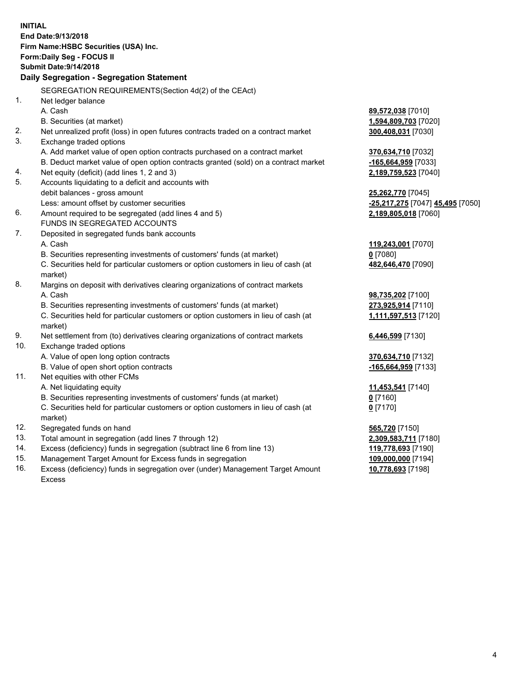**INITIAL End Date:9/13/2018 Firm Name:HSBC Securities (USA) Inc. Form:Daily Seg - FOCUS II Submit Date:9/14/2018 Daily Segregation - Segregation Statement** SEGREGATION REQUIREMENTS(Section 4d(2) of the CEAct) 1. Net ledger balance A. Cash **89,572,038** [7010] B. Securities (at market) **1,594,809,703** [7020] 2. Net unrealized profit (loss) in open futures contracts traded on a contract market **300,408,031** [7030] 3. Exchange traded options A. Add market value of open option contracts purchased on a contract market **370,634,710** [7032] B. Deduct market value of open option contracts granted (sold) on a contract market **-165,664,959** [7033] 4. Net equity (deficit) (add lines 1, 2 and 3) **2,189,759,523** [7040] 5. Accounts liquidating to a deficit and accounts with debit balances - gross amount **25,262,770** [7045] Less: amount offset by customer securities **-25,217,275** [7047] **45,495** [7050] 6. Amount required to be segregated (add lines 4 and 5) **2,189,805,018** [7060] FUNDS IN SEGREGATED ACCOUNTS 7. Deposited in segregated funds bank accounts A. Cash **119,243,001** [7070] B. Securities representing investments of customers' funds (at market) **0** [7080] C. Securities held for particular customers or option customers in lieu of cash (at market) **482,646,470** [7090] 8. Margins on deposit with derivatives clearing organizations of contract markets A. Cash **98,735,202** [7100] B. Securities representing investments of customers' funds (at market) **273,925,914** [7110] C. Securities held for particular customers or option customers in lieu of cash (at market) **1,111,597,513** [7120] 9. Net settlement from (to) derivatives clearing organizations of contract markets **6,446,599** [7130] 10. Exchange traded options A. Value of open long option contracts **370,634,710** [7132] B. Value of open short option contracts **-165,664,959** [7133] 11. Net equities with other FCMs A. Net liquidating equity **11,453,541** [7140] B. Securities representing investments of customers' funds (at market) **0** [7160] C. Securities held for particular customers or option customers in lieu of cash (at market) **0** [7170] 12. Segregated funds on hand **565,720** [7150] 13. Total amount in segregation (add lines 7 through 12) **2,309,583,711** [7180] 14. Excess (deficiency) funds in segregation (subtract line 6 from line 13) **119,778,693** [7190] 15. Management Target Amount for Excess funds in segregation **109,000,000** [7194] 16. Excess (deficiency) funds in segregation over (under) Management Target Amount **10,778,693** [7198]

Excess